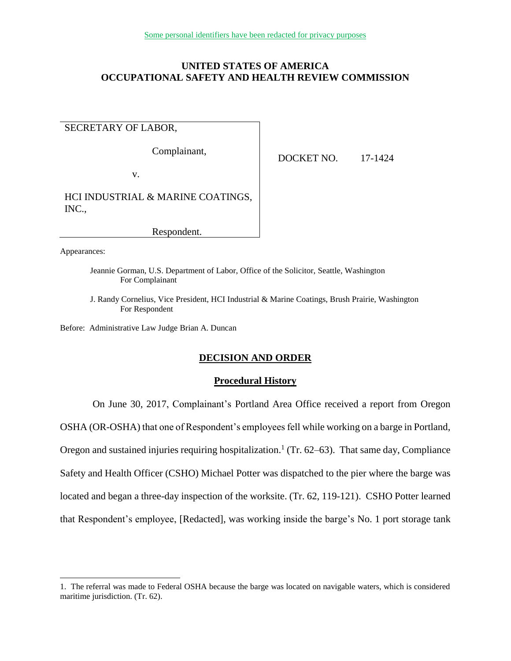## **UNITED STATES OF AMERICA OCCUPATIONAL SAFETY AND HEALTH REVIEW COMMISSION**

# SECRETARY OF LABOR,

Complainant,

v.

DOCKET NO. 17-1424

HCI INDUSTRIAL & MARINE COATINGS, INC.,

Respondent.

Appearances:

 $\overline{a}$ 

Jeannie Gorman, U.S. Department of Labor, Office of the Solicitor, Seattle, Washington For Complainant

J. Randy Cornelius, Vice President, HCI Industrial & Marine Coatings, Brush Prairie, Washington For Respondent

Before: Administrative Law Judge Brian A. Duncan

### **DECISION AND ORDER**

### **Procedural History**

On June 30, 2017, Complainant's Portland Area Office received a report from Oregon OSHA (OR-OSHA) that one of Respondent's employees fell while working on a barge in Portland, Oregon and sustained injuries requiring hospitalization.<sup>1</sup> (Tr. 62–63). That same day, Compliance Safety and Health Officer (CSHO) Michael Potter was dispatched to the pier where the barge was located and began a three-day inspection of the worksite. (Tr. 62, 119-121). CSHO Potter learned that Respondent's employee, [Redacted], was working inside the barge's No. 1 port storage tank

<sup>1.</sup> The referral was made to Federal OSHA because the barge was located on navigable waters, which is considered maritime jurisdiction. (Tr. 62).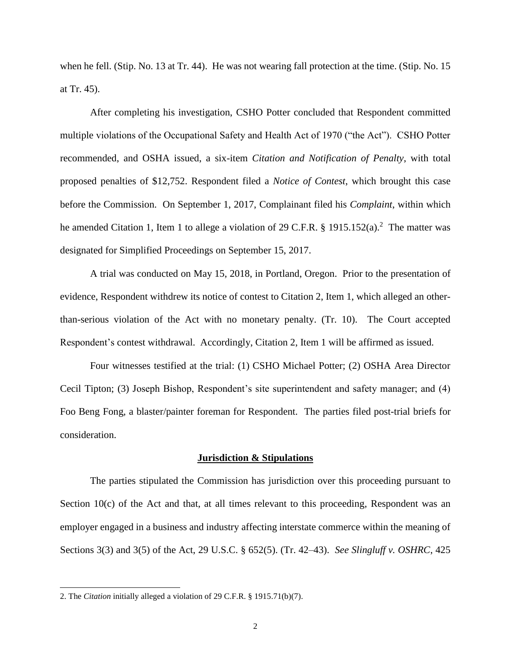when he fell. (Stip. No. 13 at Tr. 44). He was not wearing fall protection at the time. (Stip. No. 15 at Tr. 45).

After completing his investigation, CSHO Potter concluded that Respondent committed multiple violations of the Occupational Safety and Health Act of 1970 ("the Act"). CSHO Potter recommended, and OSHA issued, a six-item *Citation and Notification of Penalty*, with total proposed penalties of \$12,752. Respondent filed a *Notice of Contest*, which brought this case before the Commission. On September 1, 2017, Complainant filed his *Complaint*, within which he amended Citation 1, Item 1 to allege a violation of 29 C.F.R. § 1915.152(a).<sup>2</sup> The matter was designated for Simplified Proceedings on September 15, 2017.

A trial was conducted on May 15, 2018, in Portland, Oregon. Prior to the presentation of evidence, Respondent withdrew its notice of contest to Citation 2, Item 1, which alleged an otherthan-serious violation of the Act with no monetary penalty. (Tr. 10). The Court accepted Respondent's contest withdrawal. Accordingly, Citation 2, Item 1 will be affirmed as issued.

Four witnesses testified at the trial: (1) CSHO Michael Potter; (2) OSHA Area Director Cecil Tipton; (3) Joseph Bishop, Respondent's site superintendent and safety manager; and (4) Foo Beng Fong, a blaster/painter foreman for Respondent. The parties filed post-trial briefs for consideration.

#### **Jurisdiction & Stipulations**

The parties stipulated the Commission has jurisdiction over this proceeding pursuant to Section  $10(c)$  of the Act and that, at all times relevant to this proceeding, Respondent was an employer engaged in a business and industry affecting interstate commerce within the meaning of Sections 3(3) and 3(5) of the Act, 29 U.S.C. § 652(5). (Tr. 42–43). *See Slingluff v. OSHRC*, 425

 $\overline{a}$ 

<sup>2.</sup> The *Citation* initially alleged a violation of 29 C.F.R. § 1915.71(b)(7).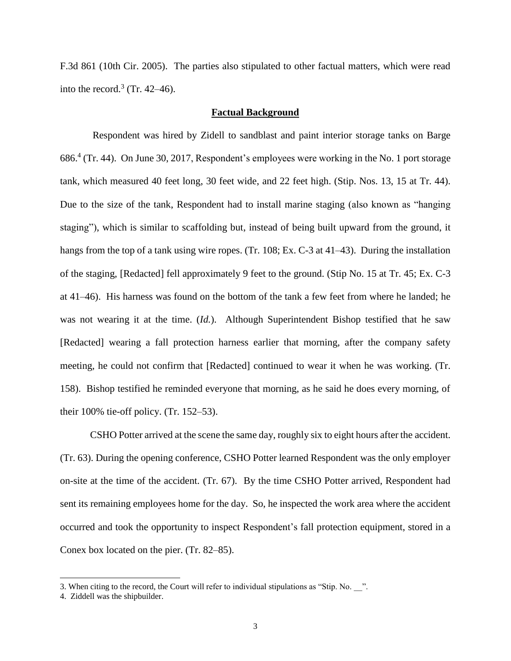F.3d 861 (10th Cir. 2005). The parties also stipulated to other factual matters, which were read into the record.<sup>3</sup> (Tr. 42–46).

## **Factual Background**

Respondent was hired by Zidell to sandblast and paint interior storage tanks on Barge 686.<sup>4</sup> (Tr. 44). On June 30, 2017, Respondent's employees were working in the No. 1 port storage tank, which measured 40 feet long, 30 feet wide, and 22 feet high. (Stip. Nos. 13, 15 at Tr. 44). Due to the size of the tank, Respondent had to install marine staging (also known as "hanging staging"), which is similar to scaffolding but, instead of being built upward from the ground, it hangs from the top of a tank using wire ropes. (Tr. 108; Ex. C-3 at 41–43). During the installation of the staging, [Redacted] fell approximately 9 feet to the ground. (Stip No. 15 at Tr. 45; Ex. C-3 at 41–46). His harness was found on the bottom of the tank a few feet from where he landed; he was not wearing it at the time. (*Id.*). Although Superintendent Bishop testified that he saw [Redacted] wearing a fall protection harness earlier that morning, after the company safety meeting, he could not confirm that [Redacted] continued to wear it when he was working. (Tr. 158). Bishop testified he reminded everyone that morning, as he said he does every morning, of their 100% tie-off policy. (Tr. 152–53).

CSHO Potter arrived at the scene the same day, roughly six to eight hours after the accident. (Tr. 63). During the opening conference, CSHO Potter learned Respondent was the only employer on-site at the time of the accident. (Tr. 67). By the time CSHO Potter arrived, Respondent had sent its remaining employees home for the day. So, he inspected the work area where the accident occurred and took the opportunity to inspect Respondent's fall protection equipment, stored in a Conex box located on the pier. (Tr. 82–85).

 $\overline{a}$ 

<sup>3.</sup> When citing to the record, the Court will refer to individual stipulations as "Stip. No. \_\_".

<sup>4.</sup> Ziddell was the shipbuilder.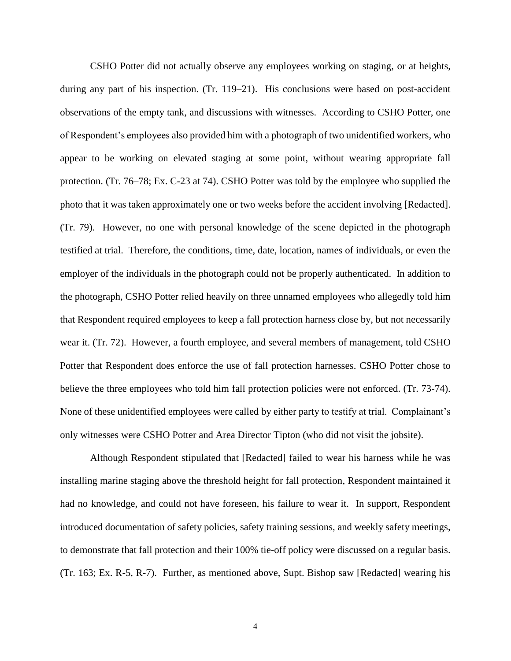CSHO Potter did not actually observe any employees working on staging, or at heights, during any part of his inspection. (Tr. 119–21). His conclusions were based on post-accident observations of the empty tank, and discussions with witnesses. According to CSHO Potter, one of Respondent's employees also provided him with a photograph of two unidentified workers, who appear to be working on elevated staging at some point, without wearing appropriate fall protection. (Tr. 76–78; Ex. C-23 at 74). CSHO Potter was told by the employee who supplied the photo that it was taken approximately one or two weeks before the accident involving [Redacted]. (Tr. 79). However, no one with personal knowledge of the scene depicted in the photograph testified at trial. Therefore, the conditions, time, date, location, names of individuals, or even the employer of the individuals in the photograph could not be properly authenticated. In addition to the photograph, CSHO Potter relied heavily on three unnamed employees who allegedly told him that Respondent required employees to keep a fall protection harness close by, but not necessarily wear it. (Tr. 72). However, a fourth employee, and several members of management, told CSHO Potter that Respondent does enforce the use of fall protection harnesses. CSHO Potter chose to believe the three employees who told him fall protection policies were not enforced. (Tr. 73-74). None of these unidentified employees were called by either party to testify at trial. Complainant's only witnesses were CSHO Potter and Area Director Tipton (who did not visit the jobsite).

Although Respondent stipulated that [Redacted] failed to wear his harness while he was installing marine staging above the threshold height for fall protection, Respondent maintained it had no knowledge, and could not have foreseen, his failure to wear it. In support, Respondent introduced documentation of safety policies, safety training sessions, and weekly safety meetings, to demonstrate that fall protection and their 100% tie-off policy were discussed on a regular basis. (Tr. 163; Ex. R-5, R-7). Further, as mentioned above, Supt. Bishop saw [Redacted] wearing his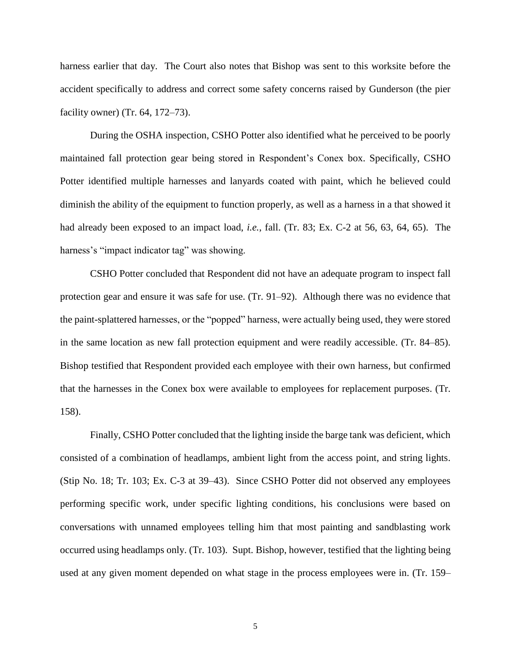harness earlier that day. The Court also notes that Bishop was sent to this worksite before the accident specifically to address and correct some safety concerns raised by Gunderson (the pier facility owner) (Tr. 64, 172–73).

During the OSHA inspection, CSHO Potter also identified what he perceived to be poorly maintained fall protection gear being stored in Respondent's Conex box. Specifically, CSHO Potter identified multiple harnesses and lanyards coated with paint, which he believed could diminish the ability of the equipment to function properly, as well as a harness in a that showed it had already been exposed to an impact load, *i.e.*, fall. (Tr. 83; Ex. C-2 at 56, 63, 64, 65). The harness's "impact indicator tag" was showing.

CSHO Potter concluded that Respondent did not have an adequate program to inspect fall protection gear and ensure it was safe for use. (Tr. 91–92). Although there was no evidence that the paint-splattered harnesses, or the "popped" harness, were actually being used, they were stored in the same location as new fall protection equipment and were readily accessible. (Tr. 84–85). Bishop testified that Respondent provided each employee with their own harness, but confirmed that the harnesses in the Conex box were available to employees for replacement purposes. (Tr. 158).

Finally, CSHO Potter concluded that the lighting inside the barge tank was deficient, which consisted of a combination of headlamps, ambient light from the access point, and string lights. (Stip No. 18; Tr. 103; Ex. C-3 at 39–43). Since CSHO Potter did not observed any employees performing specific work, under specific lighting conditions, his conclusions were based on conversations with unnamed employees telling him that most painting and sandblasting work occurred using headlamps only. (Tr. 103). Supt. Bishop, however, testified that the lighting being used at any given moment depended on what stage in the process employees were in. (Tr. 159–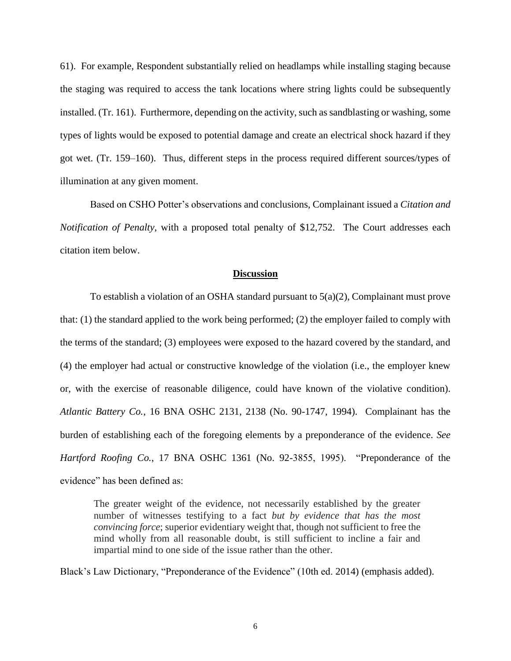61). For example, Respondent substantially relied on headlamps while installing staging because the staging was required to access the tank locations where string lights could be subsequently installed. (Tr. 161). Furthermore, depending on the activity, such as sandblasting or washing, some types of lights would be exposed to potential damage and create an electrical shock hazard if they got wet. (Tr. 159–160). Thus, different steps in the process required different sources/types of illumination at any given moment.

Based on CSHO Potter's observations and conclusions, Complainant issued a *Citation and Notification of Penalty*, with a proposed total penalty of \$12,752. The Court addresses each citation item below.

#### **Discussion**

To establish a violation of an OSHA standard pursuant to  $5(a)(2)$ , Complainant must prove that: (1) the standard applied to the work being performed; (2) the employer failed to comply with the terms of the standard; (3) employees were exposed to the hazard covered by the standard, and (4) the employer had actual or constructive knowledge of the violation (i.e., the employer knew or, with the exercise of reasonable diligence, could have known of the violative condition). *Atlantic Battery Co.*, 16 BNA OSHC 2131, 2138 (No. 90-1747, 1994). Complainant has the burden of establishing each of the foregoing elements by a preponderance of the evidence. *See Hartford Roofing Co.*, 17 BNA OSHC 1361 (No. 92-3855, 1995). "Preponderance of the evidence" has been defined as:

The greater weight of the evidence, not necessarily established by the greater number of witnesses testifying to a fact *but by evidence that has the most convincing force*; superior evidentiary weight that, though not sufficient to free the mind wholly from all reasonable doubt, is still sufficient to incline a fair and impartial mind to one side of the issue rather than the other.

Black's Law Dictionary, "Preponderance of the Evidence" (10th ed. 2014) (emphasis added).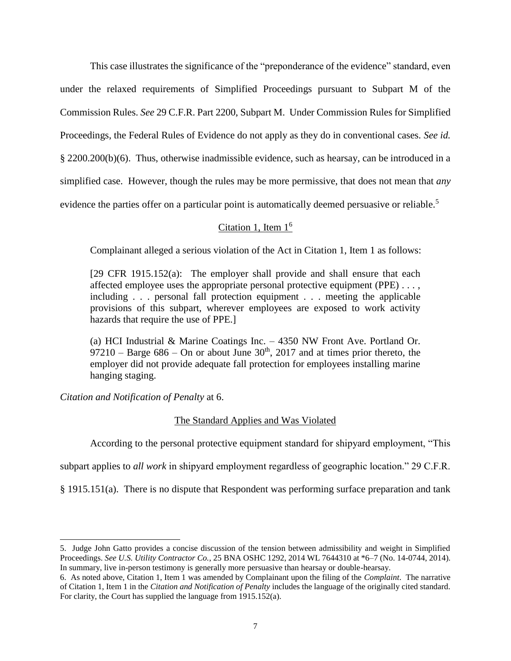This case illustrates the significance of the "preponderance of the evidence" standard, even under the relaxed requirements of Simplified Proceedings pursuant to Subpart M of the Commission Rules. *See* 29 C.F.R. Part 2200, Subpart M. Under Commission Rules for Simplified Proceedings, the Federal Rules of Evidence do not apply as they do in conventional cases. *See id.*  § 2200.200(b)(6). Thus, otherwise inadmissible evidence, such as hearsay, can be introduced in a simplified case. However, though the rules may be more permissive, that does not mean that *any*  evidence the parties offer on a particular point is automatically deemed persuasive or reliable.<sup>5</sup>

# Citation 1, Item  $1<sup>6</sup>$

Complainant alleged a serious violation of the Act in Citation 1, Item 1 as follows:

[29 CFR 1915.152(a): The employer shall provide and shall ensure that each affected employee uses the appropriate personal protective equipment (PPE) . . . , including . . . personal fall protection equipment . . . meeting the applicable provisions of this subpart, wherever employees are exposed to work activity hazards that require the use of PPE.]

(a) HCI Industrial & Marine Coatings Inc. – 4350 NW Front Ave. Portland Or. 97210 – Barge  $686$  – On or about June  $30<sup>th</sup>$ , 2017 and at times prior thereto, the employer did not provide adequate fall protection for employees installing marine hanging staging.

*Citation and Notification of Penalty* at 6.

 $\overline{a}$ 

# The Standard Applies and Was Violated

According to the personal protective equipment standard for shipyard employment, "This

subpart applies to *all work* in shipyard employment regardless of geographic location." 29 C.F.R.

§ 1915.151(a). There is no dispute that Respondent was performing surface preparation and tank

<sup>5.</sup> Judge John Gatto provides a concise discussion of the tension between admissibility and weight in Simplified Proceedings. *See U.S. Utility Contractor Co.*, 25 BNA OSHC 1292, 2014 WL 7644310 at \*6–7 (No. 14-0744, 2014). In summary, live in-person testimony is generally more persuasive than hearsay or double-hearsay.

<sup>6.</sup> As noted above, Citation 1, Item 1 was amended by Complainant upon the filing of the *Complaint*. The narrative of Citation 1, Item 1 in the *Citation and Notification of Penalty* includes the language of the originally cited standard. For clarity, the Court has supplied the language from 1915.152(a).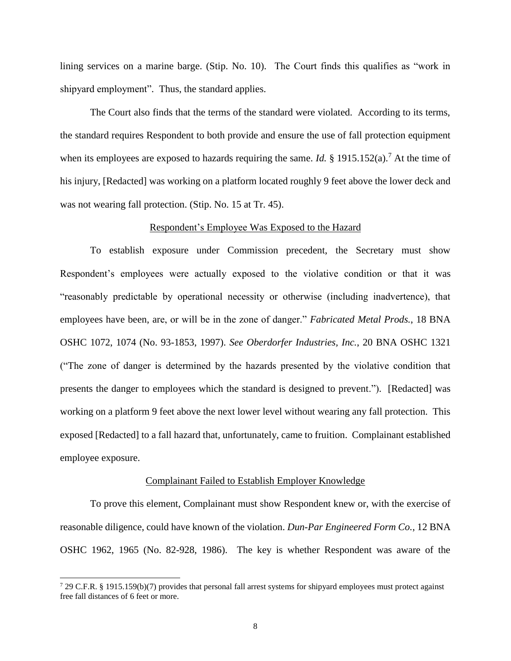lining services on a marine barge. (Stip. No. 10). The Court finds this qualifies as "work in shipyard employment". Thus, the standard applies.

The Court also finds that the terms of the standard were violated. According to its terms, the standard requires Respondent to both provide and ensure the use of fall protection equipment when its employees are exposed to hazards requiring the same. *Id.* § 1915.152(a).<sup>7</sup> At the time of his injury, [Redacted] was working on a platform located roughly 9 feet above the lower deck and was not wearing fall protection. (Stip. No. 15 at Tr. 45).

### Respondent's Employee Was Exposed to the Hazard

To establish exposure under Commission precedent, the Secretary must show Respondent's employees were actually exposed to the violative condition or that it was "reasonably predictable by operational necessity or otherwise (including inadvertence), that employees have been, are, or will be in the zone of danger." *Fabricated Metal Prods.*, 18 BNA OSHC 1072, 1074 (No. 93-1853, 1997). *See Oberdorfer Industries, Inc.*, 20 BNA OSHC 1321 ("The zone of danger is determined by the hazards presented by the violative condition that presents the danger to employees which the standard is designed to prevent."). [Redacted] was working on a platform 9 feet above the next lower level without wearing any fall protection. This exposed [Redacted] to a fall hazard that, unfortunately, came to fruition. Complainant established employee exposure.

#### Complainant Failed to Establish Employer Knowledge

To prove this element, Complainant must show Respondent knew or, with the exercise of reasonable diligence, could have known of the violation. *Dun-Par Engineered Form Co.*, 12 BNA OSHC 1962, 1965 (No. 82-928, 1986). The key is whether Respondent was aware of the

 $\overline{a}$ 

<sup>7</sup> 29 C.F.R. § 1915.159(b)(7) provides that personal fall arrest systems for shipyard employees must protect against free fall distances of 6 feet or more.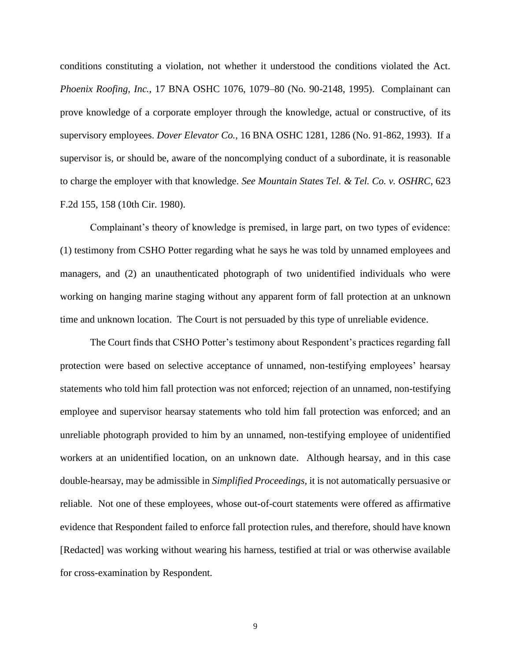conditions constituting a violation, not whether it understood the conditions violated the Act. *Phoenix Roofing, Inc.*, 17 BNA OSHC 1076, 1079–80 (No. 90-2148, 1995). Complainant can prove knowledge of a corporate employer through the knowledge, actual or constructive, of its supervisory employees. *Dover Elevator Co.*, 16 BNA OSHC 1281, 1286 (No. 91-862, 1993). If a supervisor is, or should be, aware of the noncomplying conduct of a subordinate, it is reasonable to charge the employer with that knowledge. *See Mountain States Tel. & Tel. Co. v. OSHRC*, 623 F.2d 155, 158 (10th Cir. 1980).

Complainant's theory of knowledge is premised, in large part, on two types of evidence: (1) testimony from CSHO Potter regarding what he says he was told by unnamed employees and managers, and (2) an unauthenticated photograph of two unidentified individuals who were working on hanging marine staging without any apparent form of fall protection at an unknown time and unknown location. The Court is not persuaded by this type of unreliable evidence.

The Court finds that CSHO Potter's testimony about Respondent's practices regarding fall protection were based on selective acceptance of unnamed, non-testifying employees' hearsay statements who told him fall protection was not enforced; rejection of an unnamed, non-testifying employee and supervisor hearsay statements who told him fall protection was enforced; and an unreliable photograph provided to him by an unnamed, non-testifying employee of unidentified workers at an unidentified location, on an unknown date. Although hearsay, and in this case double-hearsay, may be admissible in *Simplified Proceedings*, it is not automatically persuasive or reliable. Not one of these employees, whose out-of-court statements were offered as affirmative evidence that Respondent failed to enforce fall protection rules, and therefore, should have known [Redacted] was working without wearing his harness, testified at trial or was otherwise available for cross-examination by Respondent.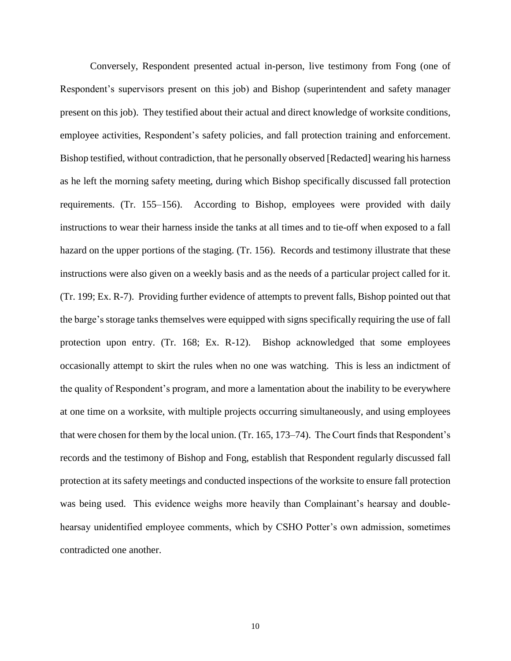Conversely, Respondent presented actual in-person, live testimony from Fong (one of Respondent's supervisors present on this job) and Bishop (superintendent and safety manager present on this job). They testified about their actual and direct knowledge of worksite conditions, employee activities, Respondent's safety policies, and fall protection training and enforcement. Bishop testified, without contradiction, that he personally observed [Redacted] wearing his harness as he left the morning safety meeting, during which Bishop specifically discussed fall protection requirements. (Tr. 155–156). According to Bishop, employees were provided with daily instructions to wear their harness inside the tanks at all times and to tie-off when exposed to a fall hazard on the upper portions of the staging. (Tr. 156). Records and testimony illustrate that these instructions were also given on a weekly basis and as the needs of a particular project called for it. (Tr. 199; Ex. R-7). Providing further evidence of attempts to prevent falls, Bishop pointed out that the barge's storage tanks themselves were equipped with signs specifically requiring the use of fall protection upon entry. (Tr. 168; Ex. R-12). Bishop acknowledged that some employees occasionally attempt to skirt the rules when no one was watching. This is less an indictment of the quality of Respondent's program, and more a lamentation about the inability to be everywhere at one time on a worksite, with multiple projects occurring simultaneously, and using employees that were chosen for them by the local union. (Tr. 165, 173–74). The Court finds that Respondent's records and the testimony of Bishop and Fong, establish that Respondent regularly discussed fall protection at its safety meetings and conducted inspections of the worksite to ensure fall protection was being used. This evidence weighs more heavily than Complainant's hearsay and doublehearsay unidentified employee comments, which by CSHO Potter's own admission, sometimes contradicted one another.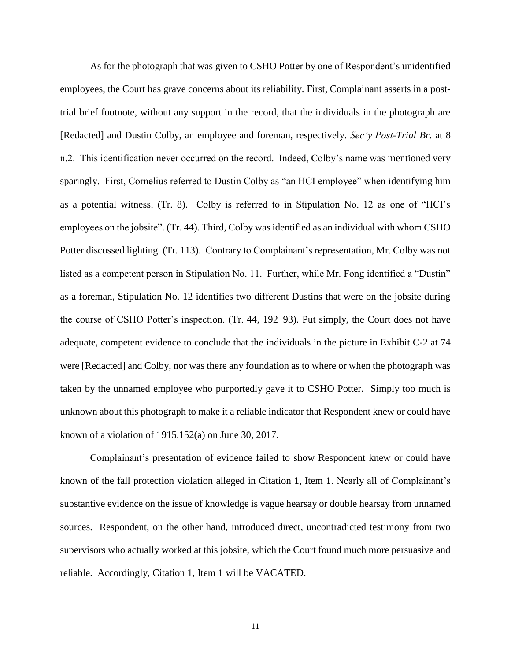As for the photograph that was given to CSHO Potter by one of Respondent's unidentified employees, the Court has grave concerns about its reliability. First, Complainant asserts in a posttrial brief footnote, without any support in the record, that the individuals in the photograph are [Redacted] and Dustin Colby, an employee and foreman, respectively. *Sec'y Post-Trial Br.* at 8 n.2. This identification never occurred on the record. Indeed, Colby's name was mentioned very sparingly. First, Cornelius referred to Dustin Colby as "an HCI employee" when identifying him as a potential witness. (Tr. 8). Colby is referred to in Stipulation No. 12 as one of "HCI's employees on the jobsite". (Tr. 44). Third, Colby was identified as an individual with whom CSHO Potter discussed lighting. (Tr. 113). Contrary to Complainant's representation, Mr. Colby was not listed as a competent person in Stipulation No. 11. Further, while Mr. Fong identified a "Dustin" as a foreman, Stipulation No. 12 identifies two different Dustins that were on the jobsite during the course of CSHO Potter's inspection. (Tr. 44, 192–93). Put simply, the Court does not have adequate, competent evidence to conclude that the individuals in the picture in Exhibit C-2 at 74 were [Redacted] and Colby, nor was there any foundation as to where or when the photograph was taken by the unnamed employee who purportedly gave it to CSHO Potter. Simply too much is unknown about this photograph to make it a reliable indicator that Respondent knew or could have known of a violation of 1915.152(a) on June 30, 2017.

Complainant's presentation of evidence failed to show Respondent knew or could have known of the fall protection violation alleged in Citation 1, Item 1. Nearly all of Complainant's substantive evidence on the issue of knowledge is vague hearsay or double hearsay from unnamed sources. Respondent, on the other hand, introduced direct, uncontradicted testimony from two supervisors who actually worked at this jobsite, which the Court found much more persuasive and reliable. Accordingly, Citation 1, Item 1 will be VACATED.

11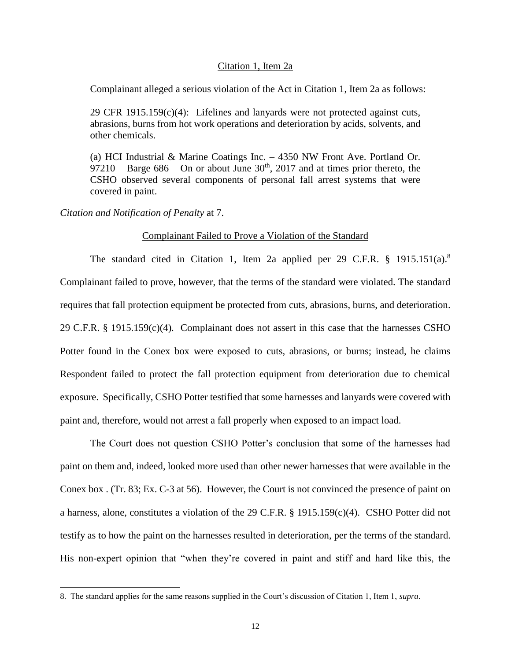### Citation 1, Item 2a

Complainant alleged a serious violation of the Act in Citation 1, Item 2a as follows:

29 CFR 1915.159(c)(4): Lifelines and lanyards were not protected against cuts, abrasions, burns from hot work operations and deterioration by acids, solvents, and other chemicals.

(a) HCI Industrial & Marine Coatings Inc. – 4350 NW Front Ave. Portland Or. 97210 – Barge  $686$  – On or about June  $30<sup>th</sup>$ , 2017 and at times prior thereto, the CSHO observed several components of personal fall arrest systems that were covered in paint.

*Citation and Notification of Penalty* at 7.

 $\overline{a}$ 

### Complainant Failed to Prove a Violation of the Standard

The standard cited in Citation 1, Item 2a applied per 29 C.F.R. § 1915.151(a).<sup>8</sup> Complainant failed to prove, however, that the terms of the standard were violated. The standard requires that fall protection equipment be protected from cuts, abrasions, burns, and deterioration. 29 C.F.R. § 1915.159(c)(4). Complainant does not assert in this case that the harnesses CSHO Potter found in the Conex box were exposed to cuts, abrasions, or burns; instead, he claims Respondent failed to protect the fall protection equipment from deterioration due to chemical exposure. Specifically, CSHO Potter testified that some harnesses and lanyards were covered with paint and, therefore, would not arrest a fall properly when exposed to an impact load.

The Court does not question CSHO Potter's conclusion that some of the harnesses had paint on them and, indeed, looked more used than other newer harnesses that were available in the Conex box . (Tr. 83; Ex. C-3 at 56). However, the Court is not convinced the presence of paint on a harness, alone, constitutes a violation of the 29 C.F.R. § 1915.159(c)(4). CSHO Potter did not testify as to how the paint on the harnesses resulted in deterioration, per the terms of the standard. His non-expert opinion that "when they're covered in paint and stiff and hard like this, the

<sup>8.</sup> The standard applies for the same reasons supplied in the Court's discussion of Citation 1, Item 1, *supra*.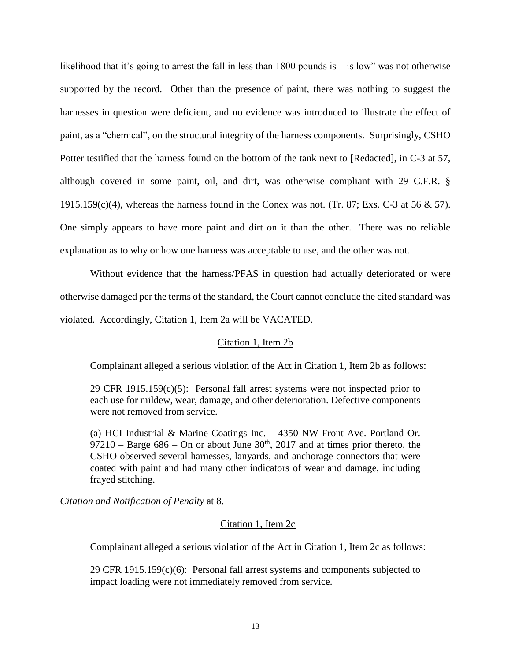likelihood that it's going to arrest the fall in less than 1800 pounds is – is low" was not otherwise supported by the record. Other than the presence of paint, there was nothing to suggest the harnesses in question were deficient, and no evidence was introduced to illustrate the effect of paint, as a "chemical", on the structural integrity of the harness components. Surprisingly, CSHO Potter testified that the harness found on the bottom of the tank next to [Redacted], in C-3 at 57, although covered in some paint, oil, and dirt, was otherwise compliant with 29 C.F.R. §  $1915.159(c)(4)$ , whereas the harness found in the Conex was not. (Tr. 87; Exs. C-3 at 56 & 57). One simply appears to have more paint and dirt on it than the other. There was no reliable explanation as to why or how one harness was acceptable to use, and the other was not.

Without evidence that the harness/PFAS in question had actually deteriorated or were otherwise damaged per the terms of the standard, the Court cannot conclude the cited standard was violated. Accordingly, Citation 1, Item 2a will be VACATED.

# Citation 1, Item 2b

Complainant alleged a serious violation of the Act in Citation 1, Item 2b as follows:

29 CFR  $1915.159(c)(5)$ : Personal fall arrest systems were not inspected prior to each use for mildew, wear, damage, and other deterioration. Defective components were not removed from service.

(a) HCI Industrial & Marine Coatings Inc. – 4350 NW Front Ave. Portland Or. 97210 – Barge 686 – On or about June  $30<sup>th</sup>$ , 2017 and at times prior thereto, the CSHO observed several harnesses, lanyards, and anchorage connectors that were coated with paint and had many other indicators of wear and damage, including frayed stitching.

*Citation and Notification of Penalty* at 8.

# Citation 1, Item 2c

Complainant alleged a serious violation of the Act in Citation 1, Item 2c as follows:

29 CFR 1915.159(c)(6): Personal fall arrest systems and components subjected to impact loading were not immediately removed from service.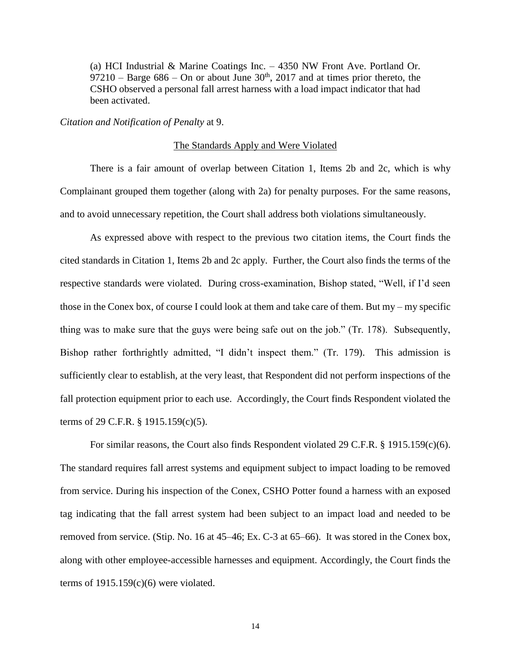(a) HCI Industrial & Marine Coatings Inc. – 4350 NW Front Ave. Portland Or.  $97210$  – Barge 686 – On or about June 30<sup>th</sup>, 2017 and at times prior thereto, the CSHO observed a personal fall arrest harness with a load impact indicator that had been activated.

*Citation and Notification of Penalty* at 9.

#### The Standards Apply and Were Violated

There is a fair amount of overlap between Citation 1, Items 2b and 2c, which is why Complainant grouped them together (along with 2a) for penalty purposes. For the same reasons, and to avoid unnecessary repetition, the Court shall address both violations simultaneously.

As expressed above with respect to the previous two citation items, the Court finds the cited standards in Citation 1, Items 2b and 2c apply. Further, the Court also finds the terms of the respective standards were violated. During cross-examination, Bishop stated, "Well, if I'd seen those in the Conex box, of course I could look at them and take care of them. But my – my specific thing was to make sure that the guys were being safe out on the job." (Tr. 178). Subsequently, Bishop rather forthrightly admitted, "I didn't inspect them." (Tr. 179). This admission is sufficiently clear to establish, at the very least, that Respondent did not perform inspections of the fall protection equipment prior to each use. Accordingly, the Court finds Respondent violated the terms of 29 C.F.R. § 1915.159(c)(5).

For similar reasons, the Court also finds Respondent violated 29 C.F.R. § 1915.159(c)(6). The standard requires fall arrest systems and equipment subject to impact loading to be removed from service. During his inspection of the Conex, CSHO Potter found a harness with an exposed tag indicating that the fall arrest system had been subject to an impact load and needed to be removed from service. (Stip. No. 16 at 45–46; Ex. C-3 at 65–66). It was stored in the Conex box, along with other employee-accessible harnesses and equipment. Accordingly, the Court finds the terms of  $1915.159(c)(6)$  were violated.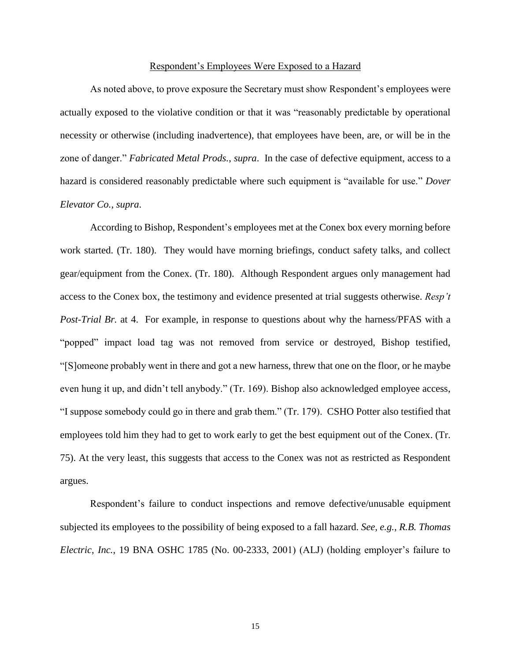#### Respondent's Employees Were Exposed to a Hazard

As noted above, to prove exposure the Secretary must show Respondent's employees were actually exposed to the violative condition or that it was "reasonably predictable by operational necessity or otherwise (including inadvertence), that employees have been, are, or will be in the zone of danger." *Fabricated Metal Prods.*, *supra*. In the case of defective equipment, access to a hazard is considered reasonably predictable where such equipment is "available for use." *Dover Elevator Co.*, *supra*.

According to Bishop, Respondent's employees met at the Conex box every morning before work started. (Tr. 180). They would have morning briefings, conduct safety talks, and collect gear/equipment from the Conex. (Tr. 180). Although Respondent argues only management had access to the Conex box, the testimony and evidence presented at trial suggests otherwise. *Resp't Post-Trial Br.* at 4. For example, in response to questions about why the harness/PFAS with a "popped" impact load tag was not removed from service or destroyed, Bishop testified, "[S]omeone probably went in there and got a new harness, threw that one on the floor, or he maybe even hung it up, and didn't tell anybody." (Tr. 169). Bishop also acknowledged employee access, "I suppose somebody could go in there and grab them." (Tr. 179). CSHO Potter also testified that employees told him they had to get to work early to get the best equipment out of the Conex. (Tr. 75). At the very least, this suggests that access to the Conex was not as restricted as Respondent argues.

Respondent's failure to conduct inspections and remove defective/unusable equipment subjected its employees to the possibility of being exposed to a fall hazard. *See, e.g., R.B. Thomas Electric, Inc.*, 19 BNA OSHC 1785 (No. 00-2333, 2001) (ALJ) (holding employer's failure to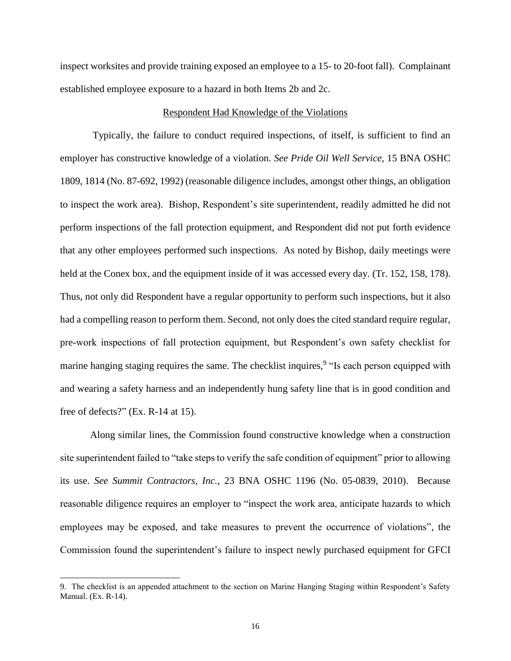inspect worksites and provide training exposed an employee to a 15- to 20-foot fall). Complainant established employee exposure to a hazard in both Items 2b and 2c.

### Respondent Had Knowledge of the Violations

Typically, the failure to conduct required inspections, of itself, is sufficient to find an employer has constructive knowledge of a violation. *See Pride Oil Well Service*, 15 BNA OSHC 1809, 1814 (No. 87-692, 1992) (reasonable diligence includes, amongst other things, an obligation to inspect the work area). Bishop, Respondent's site superintendent, readily admitted he did not perform inspections of the fall protection equipment, and Respondent did not put forth evidence that any other employees performed such inspections. As noted by Bishop, daily meetings were held at the Conex box, and the equipment inside of it was accessed every day. (Tr. 152, 158, 178). Thus, not only did Respondent have a regular opportunity to perform such inspections, but it also had a compelling reason to perform them. Second, not only does the cited standard require regular, pre-work inspections of fall protection equipment, but Respondent's own safety checklist for marine hanging staging requires the same. The checklist inquires,<sup>9</sup> "Is each person equipped with and wearing a safety harness and an independently hung safety line that is in good condition and free of defects?" (Ex. R-14 at 15).

Along similar lines, the Commission found constructive knowledge when a construction site superintendent failed to "take steps to verify the safe condition of equipment" prior to allowing its use. *See Summit Contractors, Inc.*, 23 BNA OSHC 1196 (No. 05-0839, 2010). Because reasonable diligence requires an employer to "inspect the work area, anticipate hazards to which employees may be exposed, and take measures to prevent the occurrence of violations", the Commission found the superintendent's failure to inspect newly purchased equipment for GFCI

 $\overline{a}$ 

<sup>9.</sup> The checklist is an appended attachment to the section on Marine Hanging Staging within Respondent's Safety Manual. (Ex. R-14).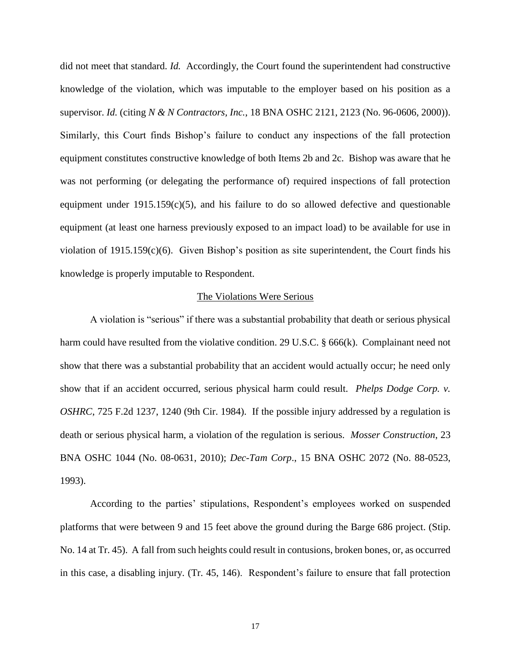did not meet that standard. *Id.* Accordingly, the Court found the superintendent had constructive knowledge of the violation, which was imputable to the employer based on his position as a supervisor. *Id.* (citing *N & N Contractors, Inc.*, 18 BNA OSHC 2121, 2123 (No. 96-0606, 2000)). Similarly, this Court finds Bishop's failure to conduct any inspections of the fall protection equipment constitutes constructive knowledge of both Items 2b and 2c. Bishop was aware that he was not performing (or delegating the performance of) required inspections of fall protection equipment under  $1915.159(c)(5)$ , and his failure to do so allowed defective and questionable equipment (at least one harness previously exposed to an impact load) to be available for use in violation of 1915.159(c)(6). Given Bishop's position as site superintendent, the Court finds his knowledge is properly imputable to Respondent.

### The Violations Were Serious

A violation is "serious" if there was a substantial probability that death or serious physical harm could have resulted from the violative condition. 29 U.S.C. § 666(k). Complainant need not show that there was a substantial probability that an accident would actually occur; he need only show that if an accident occurred, serious physical harm could result. *Phelps Dodge Corp. v. OSHRC*, 725 F.2d 1237, 1240 (9th Cir. 1984). If the possible injury addressed by a regulation is death or serious physical harm, a violation of the regulation is serious. *Mosser Construction*, 23 BNA OSHC 1044 (No. 08-0631, 2010); *Dec-Tam Corp*., 15 BNA OSHC 2072 (No. 88-0523, 1993).

According to the parties' stipulations, Respondent's employees worked on suspended platforms that were between 9 and 15 feet above the ground during the Barge 686 project. (Stip. No. 14 at Tr. 45). A fall from such heights could result in contusions, broken bones, or, as occurred in this case, a disabling injury. (Tr. 45, 146). Respondent's failure to ensure that fall protection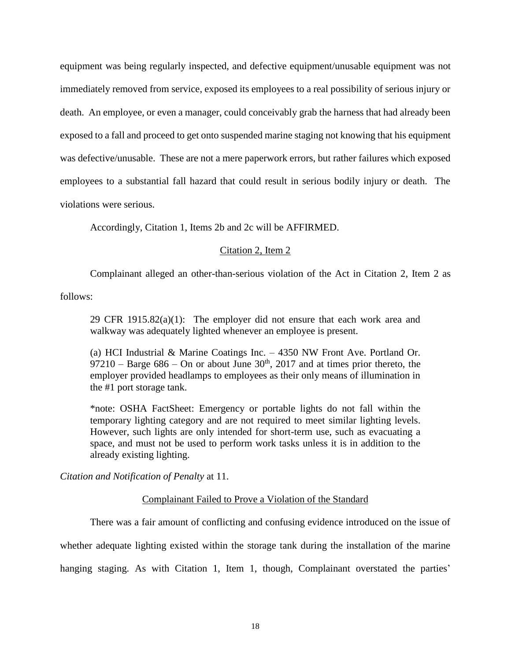equipment was being regularly inspected, and defective equipment/unusable equipment was not immediately removed from service, exposed its employees to a real possibility of serious injury or death. An employee, or even a manager, could conceivably grab the harness that had already been exposed to a fall and proceed to get onto suspended marine staging not knowing that his equipment was defective/unusable. These are not a mere paperwork errors, but rather failures which exposed employees to a substantial fall hazard that could result in serious bodily injury or death. The violations were serious.

Accordingly, Citation 1, Items 2b and 2c will be AFFIRMED.

# Citation 2, Item 2

Complainant alleged an other-than-serious violation of the Act in Citation 2, Item 2 as

follows:

29 CFR 1915.82 $(a)(1)$ : The employer did not ensure that each work area and walkway was adequately lighted whenever an employee is present.

(a) HCI Industrial & Marine Coatings Inc. – 4350 NW Front Ave. Portland Or. 97210 – Barge  $686$  – On or about June  $30<sup>th</sup>$ , 2017 and at times prior thereto, the employer provided headlamps to employees as their only means of illumination in the #1 port storage tank.

\*note: OSHA FactSheet: Emergency or portable lights do not fall within the temporary lighting category and are not required to meet similar lighting levels. However, such lights are only intended for short-term use, such as evacuating a space, and must not be used to perform work tasks unless it is in addition to the already existing lighting.

*Citation and Notification of Penalty* at 11.

# Complainant Failed to Prove a Violation of the Standard

There was a fair amount of conflicting and confusing evidence introduced on the issue of

whether adequate lighting existed within the storage tank during the installation of the marine hanging staging. As with Citation 1, Item 1, though, Complainant overstated the parties'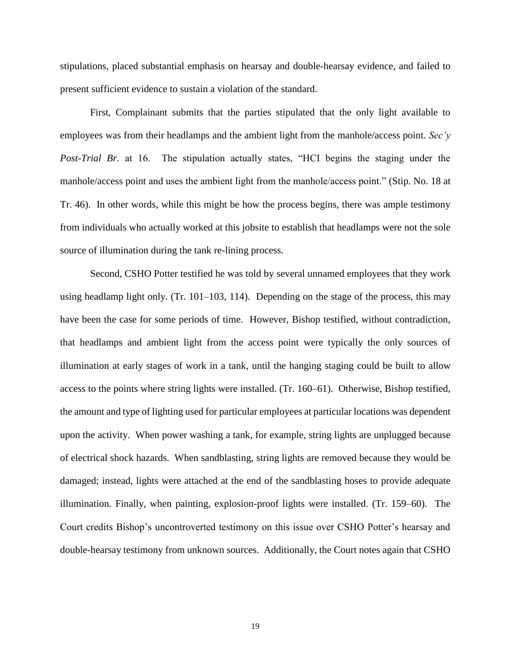stipulations, placed substantial emphasis on hearsay and double-hearsay evidence, and failed to present sufficient evidence to sustain a violation of the standard.

First, Complainant submits that the parties stipulated that the only light available to employees was from their headlamps and the ambient light from the manhole/access point. *Sec'y Post-Trial Br.* at 16. The stipulation actually states, "HCI begins the staging under the manhole/access point and uses the ambient light from the manhole/access point." (Stip. No. 18 at Tr. 46). In other words, while this might be how the process begins, there was ample testimony from individuals who actually worked at this jobsite to establish that headlamps were not the sole source of illumination during the tank re-lining process.

Second, CSHO Potter testified he was told by several unnamed employees that they work using headlamp light only. (Tr. 101–103, 114). Depending on the stage of the process, this may have been the case for some periods of time. However, Bishop testified, without contradiction, that headlamps and ambient light from the access point were typically the only sources of illumination at early stages of work in a tank, until the hanging staging could be built to allow access to the points where string lights were installed. (Tr. 160–61). Otherwise, Bishop testified, the amount and type of lighting used for particular employees at particular locations was dependent upon the activity. When power washing a tank, for example, string lights are unplugged because of electrical shock hazards. When sandblasting, string lights are removed because they would be damaged; instead, lights were attached at the end of the sandblasting hoses to provide adequate illumination. Finally, when painting, explosion-proof lights were installed. (Tr. 159–60). The Court credits Bishop's uncontroverted testimony on this issue over CSHO Potter's hearsay and double-hearsay testimony from unknown sources. Additionally, the Court notes again that CSHO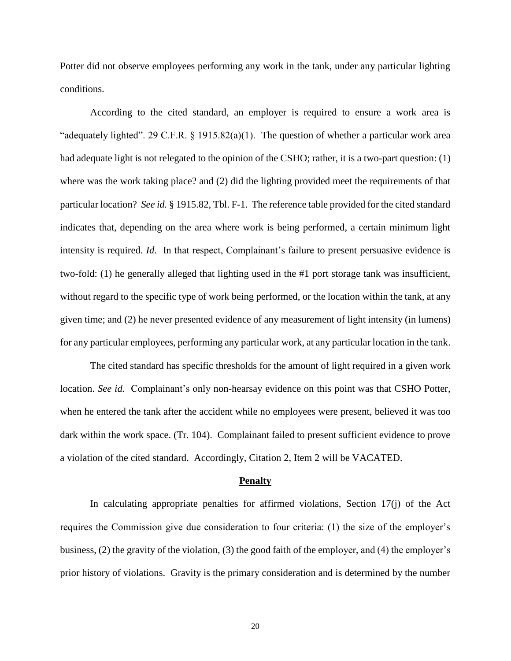Potter did not observe employees performing any work in the tank, under any particular lighting conditions.

According to the cited standard, an employer is required to ensure a work area is "adequately lighted". 29 C.F.R.  $\S$  1915.82(a)(1). The question of whether a particular work area had adequate light is not relegated to the opinion of the CSHO; rather, it is a two-part question: (1) where was the work taking place? and (2) did the lighting provided meet the requirements of that particular location? *See id.* § 1915.82, Tbl. F-1. The reference table provided for the cited standard indicates that, depending on the area where work is being performed, a certain minimum light intensity is required. *Id.* In that respect, Complainant's failure to present persuasive evidence is two-fold: (1) he generally alleged that lighting used in the #1 port storage tank was insufficient, without regard to the specific type of work being performed, or the location within the tank, at any given time; and (2) he never presented evidence of any measurement of light intensity (in lumens) for any particular employees, performing any particular work, at any particular location in the tank.

The cited standard has specific thresholds for the amount of light required in a given work location. *See id.* Complainant's only non-hearsay evidence on this point was that CSHO Potter, when he entered the tank after the accident while no employees were present, believed it was too dark within the work space. (Tr. 104). Complainant failed to present sufficient evidence to prove a violation of the cited standard. Accordingly, Citation 2, Item 2 will be VACATED.

#### **Penalty**

In calculating appropriate penalties for affirmed violations, Section 17(j) of the Act requires the Commission give due consideration to four criteria: (1) the size of the employer's business, (2) the gravity of the violation, (3) the good faith of the employer, and (4) the employer's prior history of violations. Gravity is the primary consideration and is determined by the number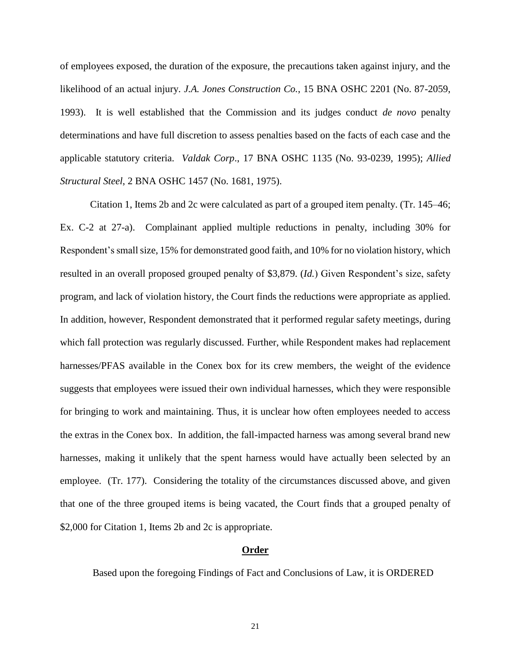of employees exposed, the duration of the exposure, the precautions taken against injury, and the likelihood of an actual injury. *J.A. Jones Construction Co.*, 15 BNA OSHC 2201 (No. 87-2059, 1993). It is well established that the Commission and its judges conduct *de novo* penalty determinations and have full discretion to assess penalties based on the facts of each case and the applicable statutory criteria. *Valdak Corp*., 17 BNA OSHC 1135 (No. 93-0239, 1995); *Allied Structural Steel*, 2 BNA OSHC 1457 (No. 1681, 1975).

Citation 1, Items 2b and 2c were calculated as part of a grouped item penalty. (Tr. 145–46; Ex. C-2 at 27-a). Complainant applied multiple reductions in penalty, including 30% for Respondent's small size, 15% for demonstrated good faith, and 10% for no violation history, which resulted in an overall proposed grouped penalty of \$3,879. (*Id.*) Given Respondent's size, safety program, and lack of violation history, the Court finds the reductions were appropriate as applied. In addition, however, Respondent demonstrated that it performed regular safety meetings, during which fall protection was regularly discussed. Further, while Respondent makes had replacement harnesses/PFAS available in the Conex box for its crew members, the weight of the evidence suggests that employees were issued their own individual harnesses, which they were responsible for bringing to work and maintaining. Thus, it is unclear how often employees needed to access the extras in the Conex box. In addition, the fall-impacted harness was among several brand new harnesses, making it unlikely that the spent harness would have actually been selected by an employee. (Tr. 177). Considering the totality of the circumstances discussed above, and given that one of the three grouped items is being vacated, the Court finds that a grouped penalty of \$2,000 for Citation 1, Items 2b and 2c is appropriate.

## **Order**

Based upon the foregoing Findings of Fact and Conclusions of Law, it is ORDERED